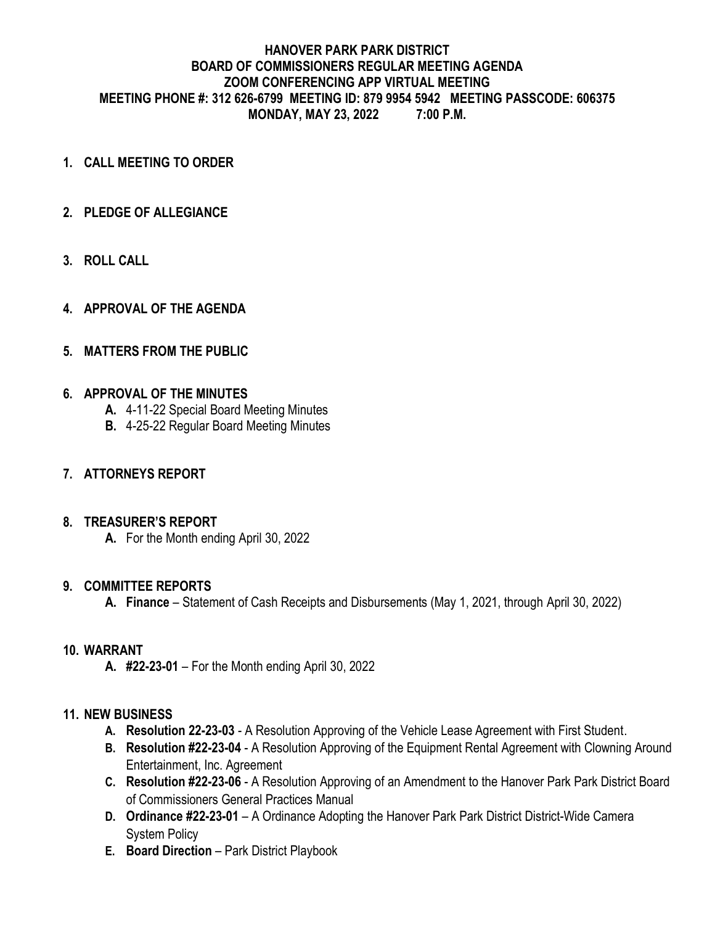## **HANOVER PARK PARK DISTRICT BOARD OF COMMISSIONERS REGULAR MEETING AGENDA ZOOM CONFERENCING APP VIRTUAL MEETING MEETING PHONE #: 312 626-6799 MEETING ID: 879 9954 5942 MEETING PASSCODE: 606375 MONDAY, MAY 23, 2022 7:00 P.M.**

- **1. CALL MEETING TO ORDER**
- **2. PLEDGE OF ALLEGIANCE**
- **3. ROLL CALL**
- **4. APPROVAL OF THE AGENDA**

## **5. MATTERS FROM THE PUBLIC**

### **6. APPROVAL OF THE MINUTES**

- **A.** 4-11-22 Special Board Meeting Minutes
- **B.** 4-25-22 Regular Board Meeting Minutes

### **7. ATTORNEYS REPORT**

### **8. TREASURER'S REPORT**

**A.** For the Month ending April 30, 2022

### **9. COMMITTEE REPORTS**

**A. Finance** – Statement of Cash Receipts and Disbursements (May 1, 2021, through April 30, 2022)

## **10. WARRANT**

**A. #22-23-01** – For the Month ending April 30, 2022

### **11. NEW BUSINESS**

- **A. Resolution 22-23-03** A Resolution Approving of the Vehicle Lease Agreement with First Student.
- **B. Resolution #22-23-04** A Resolution Approving of the Equipment Rental Agreement with Clowning Around Entertainment, Inc. Agreement
- **C. Resolution #22-23-06** A Resolution Approving of an Amendment to the Hanover Park Park District Board of Commissioners General Practices Manual
- **D. Ordinance #22-23-01** A Ordinance Adopting the Hanover Park Park District District-Wide Camera System Policy
- **E. Board Direction** Park District Playbook